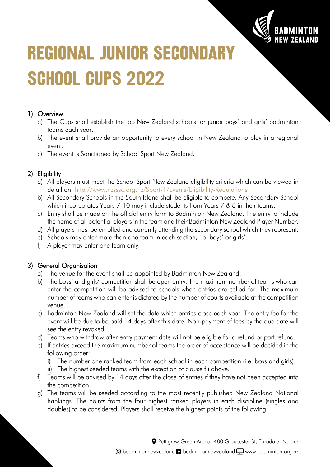

# **REGIONAL JUNIOR SECONDARY SCHOOL CUPS 2022**

## 1) Overview

- a) The Cups shall establish the top New Zealand schools for junior boys' and girls' badminton teams each year.
- b) The event shall provide an opportunity to every school in New Zealand to play in a regional event.
- c) The event is Sanctioned by School Sport New Zealand.

# 2) Eligibility

- a) All players must meet the School Sport New Zealand eligibility criteria which can be viewed in detail on:<http://www.nzsssc.org.nz/Sport-1/Events/Eligibility-Regulations>
- b) All Secondary Schools in the South Island shall be eligible to compete. Any Secondary School which incorporates Years 7-10 may include students from Years 7 & 8 in their teams.
- c) Entry shall be made on the official entry form to Badminton New Zealand. The entry to include the name of all potential players in the team and their Badminton New Zealand Player Number.
- d) All players must be enrolled and currently attending the secondary school which they represent.
- e) Schools may enter more than one team in each section; i.e. boys' or girls'.
- f) A player may enter one team only.

## 3) General Organisation

- a) The venue for the event shall be appointed by Badminton New Zealand.
- b) The boys' and girls' competition shall be open entry. The maximum number of teams who can enter the competition will be advised to schools when entries are called for. The maximum number of teams who can enter is dictated by the number of courts available at the competition venue.
- c) Badminton New Zealand will set the date which entries close each year. The entry fee for the event will be due to be paid 14 days after this date. Non-payment of fees by the due date will see the entry revoked.
- d) Teams who withdraw after entry payment date will not be eligible for a refund or part refund.
- e) If entries exceed the maximum number of teams the order of acceptance will be decided in the following order:
	- i) The number one ranked team from each school in each competition (i.e. boys and girls).
	- ii) The highest seeded teams with the exception of clause f.i above.
- f) Teams will be advised by 14 days after the close of entries if they have not been accepted into the competition.
- g) The teams will be seeded according to the most recently published New Zealand National Rankings. The points from the four highest ranked players in each discipline (singles and doubles) to be considered. Players shall receive the highest points of the following:

Pettigrew.Green Arena, 480 Gloucester St, Taradale, Napier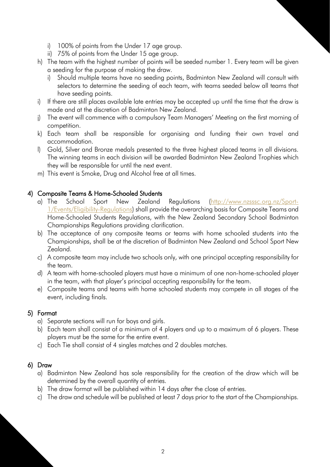- i) 100% of points from the Under 17 age group.
- ii) 75% of points from the Under 15 age group.
- h) The team with the highest number of points will be seeded number 1. Every team will be given a seeding for the purpose of making the draw.
	- i) Should multiple teams have no seeding points, Badminton New Zealand will consult with selectors to determine the seeding of each team, with teams seeded below all teams that have seeding points.
- i) If there are still places available late entries may be accepted up until the time that the draw is made and at the discretion of Badminton New Zealand.
- j) The event will commence with a compulsory Team Managers' Meeting on the first morning of competition.
- k) Each team shall be responsible for organising and funding their own travel and accommodation.
- l) Gold, Silver and Bronze medals presented to the three highest placed teams in all divisions. The winning teams in each division will be awarded Badminton New Zealand Trophies which they will be responsible for until the next event.
- m) This event is Smoke, Drug and Alcohol free at all times.

#### 4) Composite Teams & Home-Schooled Students

- a) The School Sport New Zealand Regulations [\(http://www.nzsssc.org.nz/Sport-](http://www.nzsssc.org.nz/Sport-1/Events/Eligibility-Regulations)[1/Events/Eligibility-Regulations\)](http://www.nzsssc.org.nz/Sport-1/Events/Eligibility-Regulations) shall provide the overarching basis for Composite Teams and Home-Schooled Students Regulations, with the New Zealand Secondary School Badminton Championships Regulations providing clarification.
- b) The acceptance of any composite teams or teams with home schooled students into the Championships, shall be at the discretion of Badminton New Zealand and School Sport New Zealand.
- c) A composite team may include two schools only, with one principal accepting responsibility for the team.
- d) A team with home-schooled players must have a minimum of one non-home-schooled player in the team, with that player's principal accepting responsibility for the team.
- e) Composite teams and teams with home schooled students may compete in all stages of the event, including finals.

#### 5) Format

- a) Separate sections will run for boys and girls.
- b) Each team shall consist of a minimum of 4 players and up to a maximum of 6 players. These players must be the same for the entire event.
- c) Each Tie shall consist of 4 singles matches and 2 doubles matches.

#### 6) Draw

- a) Badminton New Zealand has sole responsibility for the creation of the draw which will be determined by the overall quantity of entries.
- b) The draw format will be published within 14 days after the close of entries.
- c) The draw and schedule will be published at least 7 days prior to the start of the Championships.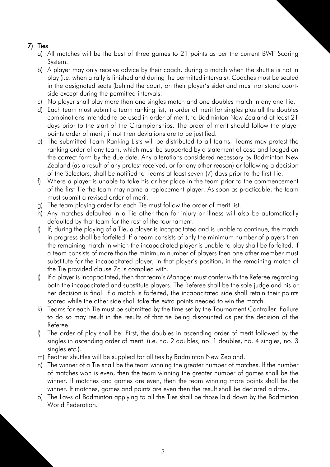## 7) Ties

- a) All matches will be the best of three games to 21 points as per the current BWF Scoring System.
- b) A player may only receive advice by their coach, during a match when the shuttle is not in play (i.e. when a rally is finished and during the permitted intervals). Coaches must be seated in the designated seats (behind the court, on their player's side) and must not stand courtside except during the permitted intervals.
- c) No player shall play more than one singles match and one doubles match in any one Tie.
- d) Each team must submit a team ranking list, in order of merit for singles plus all the doubles combinations intended to be used in order of merit, to Badminton New Zealand at least 21 days prior to the start of the Championships. The order of merit should follow the player points order of merit; if not then deviations are to be justified.
- e) The submitted Team Ranking Lists will be distributed to all teams. Teams may protest the ranking order of any team, which must be supported by a statement of case and lodged on the correct form by the due date. Any alterations considered necessary by Badminton New Zealand (as a result of any protest received, or for any other reason) or following a decision of the Selectors, shall be notified to Teams at least seven (7) days prior to the first Tie.
- f) Where a player is unable to take his or her place in the team prior to the commencement of the first Tie the team may name a replacement player. As soon as practicable, the team must submit a revised order of merit.
- g) The team playing order for each Tie must follow the order of merit list.
- h) Any matches defaulted in a Tie other than for injury or illness will also be automatically defaulted by that team for the rest of the tournament.
- i) If, during the playing of a Tie, a player is incapacitated and is unable to continue, the match in progress shall be forfeited. If a team consists of only the minimum number of players then the remaining match in which the incapacitated player is unable to play shall be forfeited. If a team consists of more than the minimum number of players then one other member must substitute for the incapacitated player, in that player's position, in the remaining match of the Tie provided clause 7c is complied with.
- j) If a player is incapacitated, then that team's Manager must confer with the Referee regarding both the incapacitated and substitute players. The Referee shall be the sole judge and his or her decision is final. If a match is forfeited, the incapacitated side shall retain their points scored while the other side shall take the extra points needed to win the match.
- k) Teams for each Tie must be submitted by the time set by the Tournament Controller. Failure to do so may result in the results of that tie being discounted as per the decision of the Referee.
- l) The order of play shall be: First, the doubles in ascending order of merit followed by the singles in ascending order of merit. (i.e. no. 2 doubles, no. 1 doubles, no. 4 singles, no. 3 singles etc.).
- m) Feather shuttles will be supplied for all ties by Badminton New Zealand.
- n) The winner of a Tie shall be the team winning the greater number of matches. If the number of matches won is even, then the team winning the greater number of games shall be the winner. If matches and games are even, then the team winning more points shall be the winner. If matches, games and points are even then the result shall be declared a draw.
- o) The Laws of Badminton applying to all the Ties shall be those laid down by the Badminton World Federation.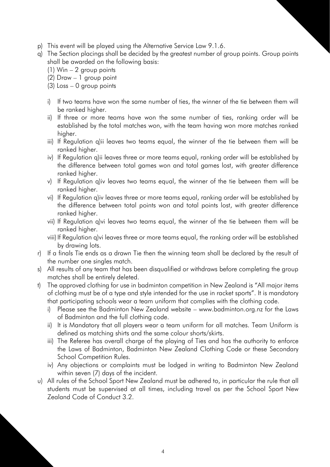- p) This event will be played using the Alternative Service Law 9.1.6.
- q) The Section placings shall be decided by the greatest number of group points. Group points shall be awarded on the following basis:
	- (1) Win 2 group points
	- (2) Draw 1 group point
	- (3) Loss 0 group points
	- i) If two teams have won the same number of ties, the winner of the tie between them will be ranked higher.
	- ii) If three or more teams have won the same number of ties, ranking order will be established by the total matches won, with the team having won more matches ranked higher.
	- iii) If Regulation q)ii leaves two teams equal, the winner of the tie between them will be ranked higher.
	- iv) If Regulation q)ii leaves three or more teams equal, ranking order will be established by the difference between total games won and total games lost, with greater difference ranked higher.
	- v) If Regulation q)iv leaves two teams equal, the winner of the tie between them will be ranked higher.
	- vi) If Regulation q)iv leaves three or more teams equal, ranking order will be established by the difference between total points won and total points lost, with greater difference ranked higher.
	- vii) If Regulation q)vi leaves two teams equal, the winner of the tie between them will be ranked higher.
	- viii) If Regulation q)vi leaves three or more teams equal, the ranking order will be established by drawing lots.
- r) If a finals Tie ends as a drawn Tie then the winning team shall be declared by the result of the number one singles match.
- s) All results of any team that has been disqualified or withdraws before completing the group matches shall be entirely deleted.
- t) The approved clothing for use in badminton competition in New Zealand is "All major items of clothing must be of a type and style intended for the use in racket sports". It is mandatory that participating schools wear a team uniform that complies with the clothing code.
	- i) Please see the Badminton New Zealand website www.badminton.org.nz for the Laws of Badminton and the full clothing code.
	- ii) It is Mandatory that all players wear a team uniform for all matches. Team Uniform is defined as matching shirts and the same colour shorts/skirts.
	- iii) The Referee has overall charge of the playing of Ties and has the authority to enforce the Laws of Badminton, Badminton New Zealand Clothing Code or these Secondary School Competition Rules.
	- iv) Any objections or complaints must be lodged in writing to Badminton New Zealand within seven (7) days of the incident.
- u) All rules of the School Sport New Zealand must be adhered to, in particular the rule that all students must be supervised at all times, including travel as per the School Sport New Zealand Code of Conduct 3.2.